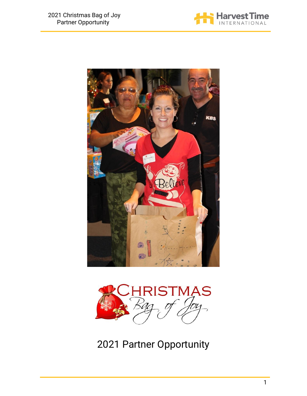





Partner Opportunity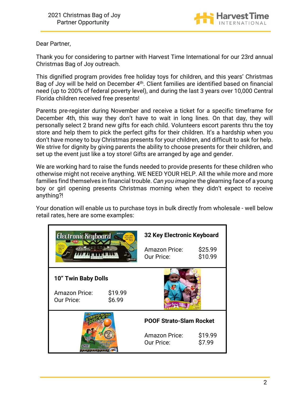

Dear Partner,

Thank you for considering to partner with Harvest Time International for our 23rd annual Christmas Bag of Joy outreach.

This dignified program provides free holiday toys for children, and this years' Christmas Bag of Joy will be held on December 4<sup>th</sup>. Client families are identified based on financial need (up to 200% of federal poverty level), and during the last 3 years over 10,000 Central Florida children received free presents!

Parents pre-register during November and receive a ticket for a specific timeframe for December 4th, this way they don't have to wait in long lines. On that day, they will personally select 2 brand new gifts for each child. Volunteers escort parents thru the toy store and help them to pick the perfect gifts for their children. It's a hardship when you don't have money to buy Christmas presents for your children, and difficult to ask for help. We strive for dignity by giving parents the ability to choose presents for their children, and set up the event just like a toy store! Gifts are arranged by age and gender.

We are working hard to raise the funds needed to provide presents for these children who otherwise might not receive anything. WE NEED YOUR HELP. All the while more and more families find themselves in financial trouble. *Can you imagine* the gleaming face of a young boy or girl opening presents Christmas morning when they didn't expect to receive anything?!

Your donation will enable us to purchase toys in bulk directly from wholesale - well below retail rates, here are some examples:

| ACES 6<br>Electronic Keyboard<br>fomes with<br>microphone<br>and music<br>dana        | <b>32 Key Electronic Keyboard</b>                        |  |  |  |
|---------------------------------------------------------------------------------------|----------------------------------------------------------|--|--|--|
| sound effect<br><b><i><u>SAMAS ATE</u></i></b>                                        | \$25.99<br>Amazon Price:<br>\$10.99<br><b>Our Price:</b> |  |  |  |
| <b>10" Twin Baby Dolls</b><br>\$19.99<br>Amazon Price:<br>\$6.99<br><b>Our Price:</b> | ew Born Turi                                             |  |  |  |
|                                                                                       | <b>POOF Strato-Slam Rocket</b>                           |  |  |  |
|                                                                                       | \$19.99<br>Amazon Price:<br>\$7.99<br><b>Our Price:</b>  |  |  |  |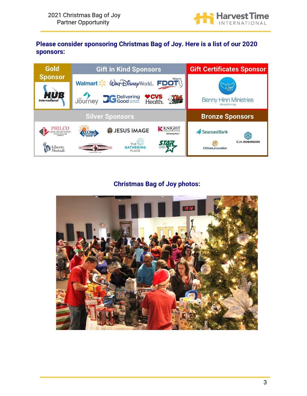

## **Please consider sponsoring Christmas Bag of Joy. Here is a list of our 2020 sponsors:**



# **Christmas Bag of Joy photos:**

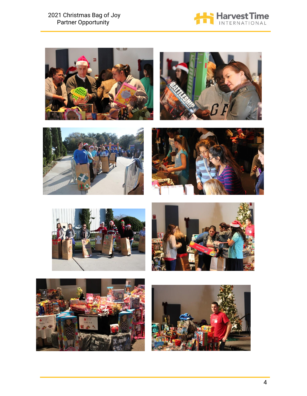### 2021 Christmas Bag of Joy Partner Opportunity